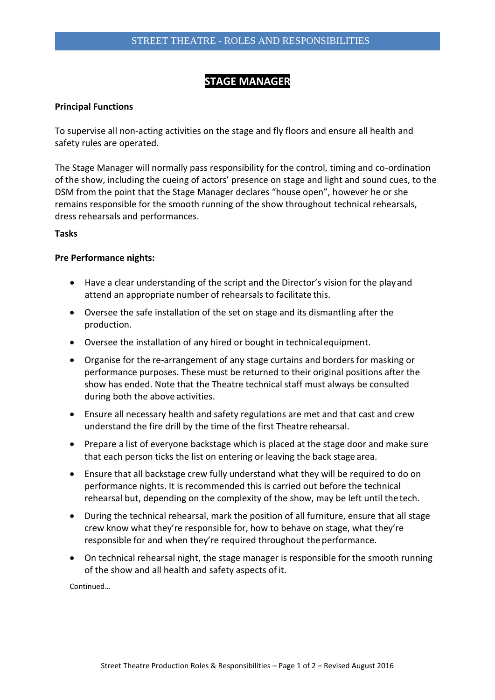# **STAGE MANAGER**

### **Principal Functions**

To supervise all non-acting activities on the stage and fly floors and ensure all health and safety rules are operated.

The Stage Manager will normally pass responsibility for the control, timing and co-ordination of the show, including the cueing of actors' presence on stage and light and sound cues, to the DSM from the point that the Stage Manager declares "house open", however he or she remains responsible for the smooth running of the show throughout technical rehearsals, dress rehearsals and performances.

#### **Tasks**

#### **Pre Performance nights:**

- Have a clear understanding of the script and the Director's vision for the playand attend an appropriate number of rehearsals to facilitate this.
- Oversee the safe installation of the set on stage and its dismantling after the production.
- Oversee the installation of any hired or bought in technicalequipment.
- Organise for the re-arrangement of any stage curtains and borders for masking or performance purposes. These must be returned to their original positions after the show has ended. Note that the Theatre technical staff must always be consulted during both the above activities.
- Ensure all necessary health and safety regulations are met and that cast and crew understand the fire drill by the time of the first Theatre rehearsal.
- Prepare a list of everyone backstage which is placed at the stage door and make sure that each person ticks the list on entering or leaving the back stage area.
- Ensure that all backstage crew fully understand what they will be required to do on performance nights. It is recommended this is carried out before the technical rehearsal but, depending on the complexity of the show, may be left until the tech.
- During the technical rehearsal, mark the position of all furniture, ensure that all stage crew know what they're responsible for, how to behave on stage, what they're responsible for and when they're required throughout the performance.
- On technical rehearsal night, the stage manager is responsible for the smooth running of the show and all health and safety aspects of it.

Continued…